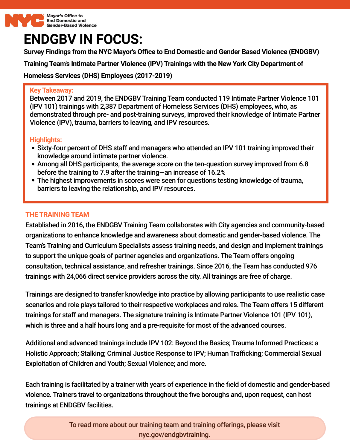

# **ENDGBV IN FOCUS:**

**Survey Findings from the NYC Mayor's Oce to End Domestic and Gender Based Violence (ENDGBV)**

**Training Team's Intimate Partner Violence (IPV) Trainings with the New York City Department of**

**Homeless Services (DHS) Employees (2017-2019)**

#### **Key Takeaway:**

Between 2017 and 2019, the ENDGBV Training Team conducted 119 Intimate Partner Violence 101 (IPV 101) trainings with 2,387 Department of Homeless Services (DHS) employees, who, as demonstrated through pre- and post-training surveys, improved their knowledge of Intimate Partner achionomated through pro- and poot training our to yo, improve<br>Violence (IPV), trauma, barriers to leaving, and IPV resources.

# **Highlights:**

- Sixty-four percent of DHS staff and managers who attended an IPV 101 training improved their knowledge around intimate partner violence.
- Among all DHS participants, the average score on the ten-question survey improved from 6.8 before the training to 7.9 after the training—an increase of 16.2%
- The highest improvements in scores were seen for questions testing knowledge of trauma, barriers to leaving the relationship, and IPV resources.

## **THE TRAININGTEAM**

Established in 2016, the ENDGBV Training Team collaborates with City agencies and community-based organizations to enhance knowledge and awareness about domestic and gender-based violence. The Team's Training and Curriculum Specialists assess training needs, and design and implement trainings to support the unique goals of partner agencies and organizations. The Team offers ongoing consultation, technical assistance, and refresher trainings. Since 2016, the Team has conducted 976 trainings with 24,066 direct service providers across the city. All trainings are free of charge.

Trainings are designed to transfer knowledge into practice by allowing participants to use realistic case scenarios and role plays tailored to their respective workplaces and roles. The Team offers 15 different trainings for staff and managers. The signature training is Intimate Partner Violence 101 (IPV 101), which is three and a half hours long and a pre-requisite for most of the advanced courses.

Additional and advanced trainings include IPV 102: Beyond the Basics; Trauma Informed Practices: a Holistic Approach; Stalking; Criminal Justice Response to IPV; Human Trafficking; Commercial Sexual Exploitation of Children and Youth; Sexual Violence; and more.

Each training is facilitated by a trainer with years of experience in the field of domestic and gender-based violence. Trainers travel to organizations throughout the five boroughs and, upon request, can host trainings at ENDGBV facilities.

> To read more about our training team and training offerings, please visit nyc.gov/endgbvtraining.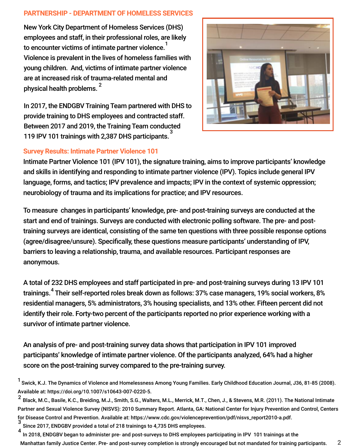#### **PARTNERSHIP - DEPARTMENTOF HOMELESS SERVICES**

physical health problems.  $^{\mathsf{2}}$ New York City Department of Homeless Services (DHS) employees and staff, in their professional roles, are likely to encounter victims of intimate partner violence.  $^{\mathsf{1}}$ Violence is prevalent in the lives of homeless families with young children. And, victims of intimate partner violence are at increased risk of trauma-related mental and

In 2017, the ENDGBV Training Team partnered with DHS to provide training to DHS employees and contracted staff. Between 2017 and 2019, the Training Team conducted 119 IPV 101 trainings with 2,387 DHS participants.<sup>3</sup>



### **Survey Results: Intimate Partner Violence 101**

Intimate Partner Violence 101 (IPV 101), the signature training, aims to improve participants' knowledge and skills in identifying and responding to intimate partner violence (IPV). Topics include general IPV language, forms, and tactics; IPV prevalence and impacts; IPV in the context of systemic oppression; neurobiology of trauma and its implications for practice; and IPV resources.

To measure changes in participants' knowledge, pre- and post-training surveys are conducted at the start and end of trainings. Surveys are conducted with electronic polling software. The pre- and posttraining surveys are identical, consisting of the same ten questions with three possible response options (agree/disagree/unsure). Specifically, these questions measure participants' understanding of IPV, barriers to leaving a relationship, trauma, and available resources. Participant responses are anonymous.

A total of 232 DHS employees and staff participated in pre- and post-training surveys during 13 IPV 101 trainings. $^{4}$  Their self-reported roles break down as follows: 37% case managers, 19% social workers, 8% residential managers, 5% administrators, 3% housing specialists, and 13% other. Fifteen percent did not identify their role. Forty-two percent of the participants reported no prior experience working with a survivor of intimate partner violence.

An analysis of pre- and post-training survey data shows that participation in IPV 101 improved participants' knowledge of intimate partner violence. Of the participants analyzed, 64% had a higher score on the post-training survey compared to the pre-training survey.

- Since 2017, ENDGBV provided a total of 218 trainings to 4,735 DHS employees. 3
- In 2018, ENDGBV began to administer pre- and post-surveys to DHS employees participating in IPV 101 trainings at the Manhattan family Justice Center. Pre- and post-survey completion is strongly encouraged but not mandated for training participants. 2 4

 $^1$  Swick, K.J. The Dynamics of Violence and Homelessness Among Young Families. Early Childhood Education Journal, J36, 81-85 (2008). Available at: https://doi.org/10.1007/s10643-007-0220-5.

<sup>&</sup>lt;sup>2</sup> Black, M.C., Basile, K.C., Breiding, M.J., Smith, S.G., Walters, M.L., Merrick, M.T., Chen, J., & Stevens, M.R. (2011). The National Intimate Partner and Sexual Violence Survey (NISVS): 2010 Summary Report. Atlanta, GA: National Center for Injury Prevention and Control, Centers for Disease Control and Prevention. Available at: [https://www.cdc.gov/violenceprevention/pdf/nisvs\\_report2010-a.pdf](https://www.cdc.gov/violenceprevention/pdf/nisvs_report2010-a.pdf).